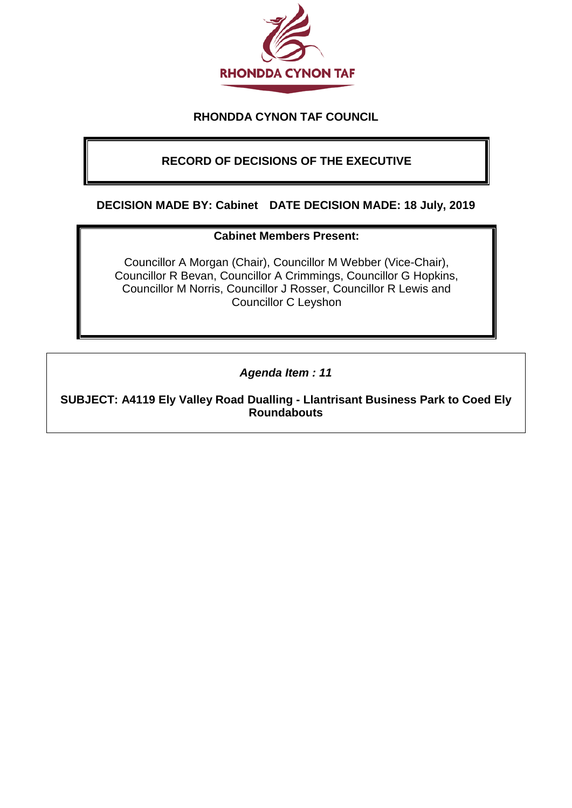

## **RHONDDA CYNON TAF COUNCIL**

# **RECORD OF DECISIONS OF THE EXECUTIVE**

#### **DECISION MADE BY: Cabinet DATE DECISION MADE: 18 July, 2019**

#### **Cabinet Members Present:**

Councillor A Morgan (Chair), Councillor M Webber (Vice-Chair), Councillor R Bevan, Councillor A Crimmings, Councillor G Hopkins, Councillor M Norris, Councillor J Rosser, Councillor R Lewis and Councillor C Leyshon

*Agenda Item : 11*

**SUBJECT: A4119 Ely Valley Road Dualling - Llantrisant Business Park to Coed Ely Roundabouts**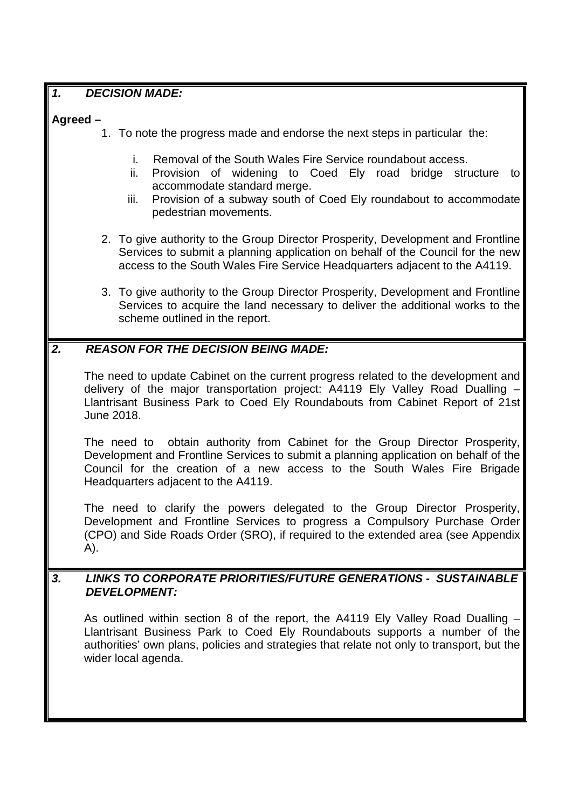### *1. DECISION MADE:*

#### **Agreed –**

- 1. To note the progress made and endorse the next steps in particular the:
	- i. Removal of the South Wales Fire Service roundabout access.
	- ii. Provision of widening to Coed Ely road bridge structure to accommodate standard merge.
	- iii. Provision of a subway south of Coed Ely roundabout to accommodate pedestrian movements.
- 2. To give authority to the Group Director Prosperity, Development and Frontline Services to submit a planning application on behalf of the Council for the new access to the South Wales Fire Service Headquarters adjacent to the A4119.
- 3. To give authority to the Group Director Prosperity, Development and Frontline Services to acquire the land necessary to deliver the additional works to the scheme outlined in the report.

## *2. REASON FOR THE DECISION BEING MADE:*

The need to update Cabinet on the current progress related to the development and delivery of the major transportation project: A4119 Ely Valley Road Dualling – Llantrisant Business Park to Coed Ely Roundabouts from Cabinet Report of 21st June 2018.

The need to obtain authority from Cabinet for the Group Director Prosperity, Development and Frontline Services to submit a planning application on behalf of the Council for the creation of a new access to the South Wales Fire Brigade Headquarters adjacent to the A4119.

The need to clarify the powers delegated to the Group Director Prosperity, Development and Frontline Services to progress a Compulsory Purchase Order (CPO) and Side Roads Order (SRO), if required to the extended area (see Appendix A).

### *3. LINKS TO CORPORATE PRIORITIES/FUTURE GENERATIONS - SUSTAINABLE DEVELOPMENT:*

As outlined within section 8 of the report, the A4119 Ely Valley Road Dualling – Llantrisant Business Park to Coed Ely Roundabouts supports a number of the authorities' own plans, policies and strategies that relate not only to transport, but the wider local agenda.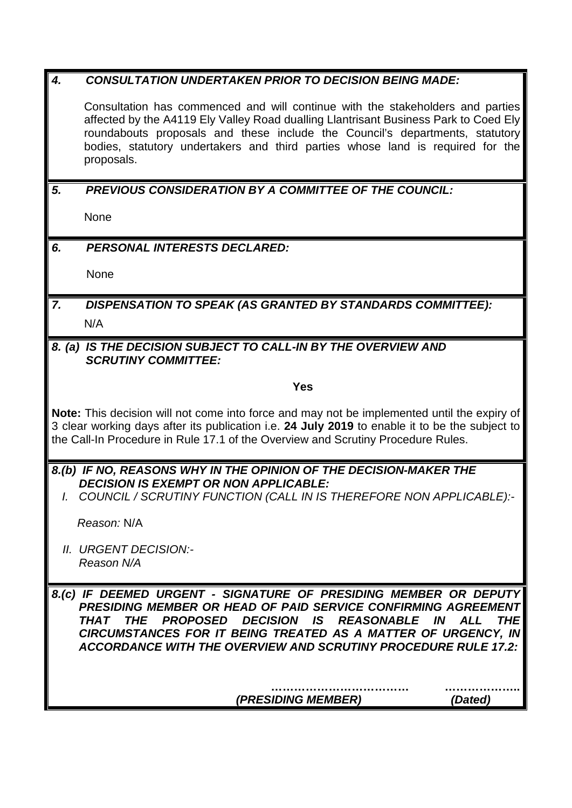| $\boldsymbol{4}$ .                                                                                                                                                                                                                                                                | <b>CONSULTATION UNDERTAKEN PRIOR TO DECISION BEING MADE:</b>                                                                                                                                                                                                                                                                                                                            |
|-----------------------------------------------------------------------------------------------------------------------------------------------------------------------------------------------------------------------------------------------------------------------------------|-----------------------------------------------------------------------------------------------------------------------------------------------------------------------------------------------------------------------------------------------------------------------------------------------------------------------------------------------------------------------------------------|
|                                                                                                                                                                                                                                                                                   | Consultation has commenced and will continue with the stakeholders and parties<br>affected by the A4119 Ely Valley Road dualling Llantrisant Business Park to Coed Ely<br>roundabouts proposals and these include the Council's departments, statutory<br>bodies, statutory undertakers and third parties whose land is required for the<br>proposals.                                  |
| 5.                                                                                                                                                                                                                                                                                | <b>PREVIOUS CONSIDERATION BY A COMMITTEE OF THE COUNCIL:</b>                                                                                                                                                                                                                                                                                                                            |
|                                                                                                                                                                                                                                                                                   | None                                                                                                                                                                                                                                                                                                                                                                                    |
| 6.                                                                                                                                                                                                                                                                                | <b>PERSONAL INTERESTS DECLARED:</b>                                                                                                                                                                                                                                                                                                                                                     |
|                                                                                                                                                                                                                                                                                   | None                                                                                                                                                                                                                                                                                                                                                                                    |
| 7.                                                                                                                                                                                                                                                                                | <b>DISPENSATION TO SPEAK (AS GRANTED BY STANDARDS COMMITTEE):</b>                                                                                                                                                                                                                                                                                                                       |
|                                                                                                                                                                                                                                                                                   | N/A                                                                                                                                                                                                                                                                                                                                                                                     |
|                                                                                                                                                                                                                                                                                   | 8. (a) IS THE DECISION SUBJECT TO CALL-IN BY THE OVERVIEW AND<br><b>SCRUTINY COMMITTEE:</b>                                                                                                                                                                                                                                                                                             |
|                                                                                                                                                                                                                                                                                   | <b>Yes</b>                                                                                                                                                                                                                                                                                                                                                                              |
| Note: This decision will not come into force and may not be implemented until the expiry of<br>3 clear working days after its publication i.e. 24 July 2019 to enable it to be the subject to<br>the Call-In Procedure in Rule 17.1 of the Overview and Scrutiny Procedure Rules. |                                                                                                                                                                                                                                                                                                                                                                                         |
| 8.(b) IF NO, REASONS WHY IN THE OPINION OF THE DECISION-MAKER THE                                                                                                                                                                                                                 |                                                                                                                                                                                                                                                                                                                                                                                         |
|                                                                                                                                                                                                                                                                                   | <b>DECISION IS EXEMPT OR NON APPLICABLE:</b><br>I. COUNCIL / SCRUTINY FUNCTION (CALL IN IS THEREFORE NON APPLICABLE):-                                                                                                                                                                                                                                                                  |
|                                                                                                                                                                                                                                                                                   | Reason: N/A                                                                                                                                                                                                                                                                                                                                                                             |
|                                                                                                                                                                                                                                                                                   | II. URGENT DECISION:-<br>Reason N/A                                                                                                                                                                                                                                                                                                                                                     |
|                                                                                                                                                                                                                                                                                   | 8.(c) IF DEEMED URGENT - SIGNATURE OF PRESIDING MEMBER OR DEPUTY<br>PRESIDING MEMBER OR HEAD OF PAID SERVICE CONFIRMING AGREEMENT<br><b>PROPOSED DECISION IS</b><br><b>THE</b><br><b>REASONABLE</b><br>THAT<br>IN<br><b>ALL</b><br><i>THE</i><br>CIRCUMSTANCES FOR IT BEING TREATED AS A MATTER OF URGENCY, IN<br><b>ACCORDANCE WITH THE OVERVIEW AND SCRUTINY PROCEDURE RULE 17.2:</b> |
|                                                                                                                                                                                                                                                                                   | (PRESIDING MEMBER)<br>(Dated)                                                                                                                                                                                                                                                                                                                                                           |